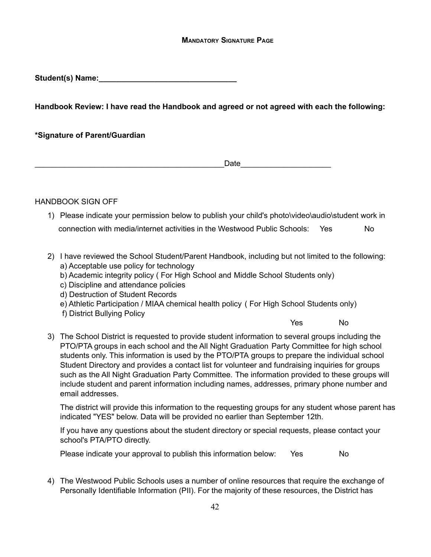## **MANDATORY SIGNATURE PAGE**

Student(s) Name:

**Handbook Review: I have read the Handbook and agreed or not agreed with each the following:**

**\*Signature of Parent/Guardian**

 $Date$ 

## HANDBOOK SIGN OFF

- 1) Please indicate your permission below to publish your child's photo\video\audio\student work in connection with media/internet activities in the Westwood Public Schools: Yes No
- 2) I have reviewed the School Student/Parent Handbook, including but not limited to the following: a) Acceptable use policy for technology
	- b) Academic integrity policy ( For High School and Middle School Students only)
	- c) Discipline and attendance policies
	- d) Destruction of Student Records
	- e) Athletic Participation / MIAA chemical health policy ( For High School Students only)
	- f) District Bullying Policy

Yes No

3) The School District is requested to provide student information to several groups including the PTO/PTA groups in each school and the All Night Graduation Party Committee for high school students only. This information is used by the PTO/PTA groups to prepare the individual school Student Directory and provides a contact list for volunteer and fundraising inquiries for groups such as the All Night Graduation Party Committee. The information provided to these groups will include student and parent information including names, addresses, primary phone number and email addresses.

The district will provide this information to the requesting groups for any student whose parent has indicated "YES" below. Data will be provided no earlier than September 12th.

If you have any questions about the student directory or special requests, please contact your school's PTA/PTO directly.

Please indicate your approval to publish this information below: Yes No

4) The Westwood Public Schools uses a number of online resources that require the exchange of Personally Identifiable Information (PII). For the majority of these resources, the District has